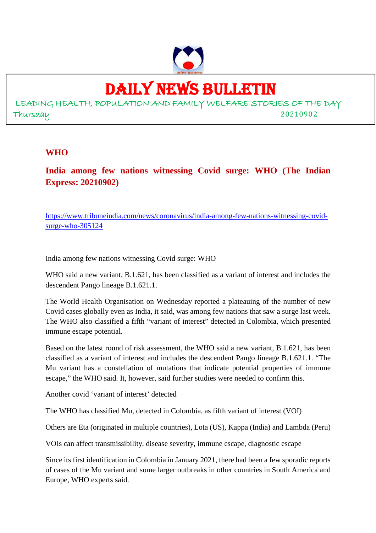

# DAILY NEWS BULLETIN

LEADING HEALTH, POPULATION AND FAMILY WELFARE STORIES OF THE DAY Thursday 20210902

## **WHO**

**India among few nations witnessing Covid surge: WHO (The Indian Express: 20210902)**

https://www.tribuneindia.com/news/coronavirus/india-among-few-nations-witnessing-covidsurge-who-305124

India among few nations witnessing Covid surge: WHO

WHO said a new variant, B.1.621, has been classified as a variant of interest and includes the descendent Pango lineage B.1.621.1.

The World Health Organisation on Wednesday reported a plateauing of the number of new Covid cases globally even as India, it said, was among few nations that saw a surge last week. The WHO also classified a fifth "variant of interest" detected in Colombia, which presented immune escape potential.

Based on the latest round of risk assessment, the WHO said a new variant, B.1.621, has been classified as a variant of interest and includes the descendent Pango lineage B.1.621.1. "The Mu variant has a constellation of mutations that indicate potential properties of immune escape," the WHO said. It, however, said further studies were needed to confirm this.

Another covid 'variant of interest' detected

The WHO has classified Mu, detected in Colombia, as fifth variant of interest (VOI)

Others are Eta (originated in multiple countries), Lota (US), Kappa (India) and Lambda (Peru)

VOIs can affect transmissibility, disease severity, immune escape, diagnostic escape

Since its first identification in Colombia in January 2021, there had been a few sporadic reports of cases of the Mu variant and some larger outbreaks in other countries in South America and Europe, WHO experts said.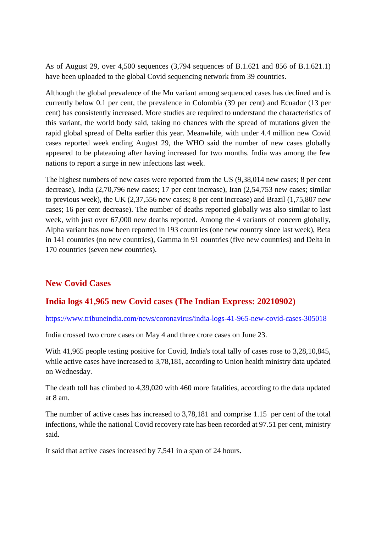As of August 29, over 4,500 sequences (3,794 sequences of B.1.621 and 856 of B.1.621.1) have been uploaded to the global Covid sequencing network from 39 countries.

Although the global prevalence of the Mu variant among sequenced cases has declined and is currently below 0.1 per cent, the prevalence in Colombia (39 per cent) and Ecuador (13 per cent) has consistently increased. More studies are required to understand the characteristics of this variant, the world body said, taking no chances with the spread of mutations given the rapid global spread of Delta earlier this year. Meanwhile, with under 4.4 million new Covid cases reported week ending August 29, the WHO said the number of new cases globally appeared to be plateauing after having increased for two months. India was among the few nations to report a surge in new infections last week.

The highest numbers of new cases were reported from the US (9,38,014 new cases; 8 per cent decrease), India (2,70,796 new cases; 17 per cent increase), Iran (2,54,753 new cases; similar to previous week), the UK (2,37,556 new cases; 8 per cent increase) and Brazil (1,75,807 new cases; 16 per cent decrease). The number of deaths reported globally was also similar to last week, with just over 67,000 new deaths reported. Among the 4 variants of concern globally, Alpha variant has now been reported in 193 countries (one new country since last week), Beta in 141 countries (no new countries), Gamma in 91 countries (five new countries) and Delta in 170 countries (seven new countries).

# **New Covid Cases**

# **India logs 41,965 new Covid cases (The Indian Express: 20210902)**

https://www.tribuneindia.com/news/coronavirus/india-logs-41-965-new-covid-cases-305018

India crossed two crore cases on May 4 and three crore cases on June 23.

With 41,965 people testing positive for Covid, India's total tally of cases rose to 3,28,10,845, while active cases have increased to 3,78,181, according to Union health ministry data updated on Wednesday.

The death toll has climbed to 4,39,020 with 460 more fatalities, according to the data updated at 8 am.

The number of active cases has increased to 3,78,181 and comprise 1.15 per cent of the total infections, while the national Covid recovery rate has been recorded at 97.51 per cent, ministry said.

It said that active cases increased by 7,541 in a span of 24 hours.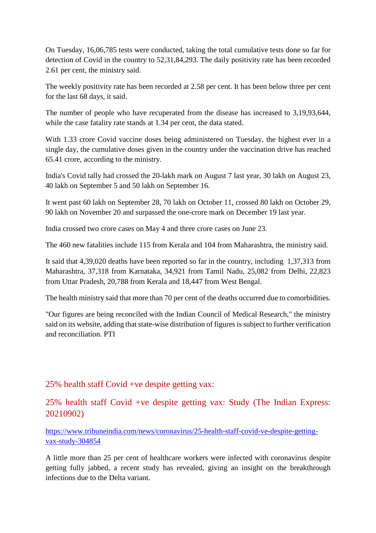On Tuesday, 16,06,785 tests were conducted, taking the total cumulative tests done so far for detection of Covid in the country to 52,31,84,293. The daily positivity rate has been recorded 2.61 per cent, the ministry said.

The weekly positivity rate has been recorded at 2.58 per cent. It has been below three per cent for the last 68 days, it said.

The number of people who have recuperated from the disease has increased to 3,19,93,644, while the case fatality rate stands at 1.34 per cent, the data stated.

With 1.33 crore Covid vaccine doses being administered on Tuesday, the highest ever in a single day, the cumulative doses given in the country under the vaccination drive has reached 65.41 crore, according to the ministry.

India's Covid tally had crossed the 20-lakh mark on August 7 last year, 30 lakh on August 23, 40 lakh on September 5 and 50 lakh on September 16.

It went past 60 lakh on September 28, 70 lakh on October 11, crossed 80 lakh on October 29, 90 lakh on November 20 and surpassed the one-crore mark on December 19 last year.

India crossed two crore cases on May 4 and three crore cases on June 23.

The 460 new fatalities include 115 from Kerala and 104 from Maharashtra, the ministry said.

It said that 4,39,020 deaths have been reported so far in the country, including 1,37,313 from Maharashtra, 37,318 from Karnataka, 34,921 from Tamil Nadu, 25,082 from Delhi, 22,823 from Uttar Pradesh, 20,788 from Kerala and 18,447 from West Bengal.

The health ministry said that more than 70 per cent of the deaths occurred due to comorbidities.

"Our figures are being reconciled with the Indian Council of Medical Research," the ministry said on its website, adding that state-wise distribution of figures is subject to further verification and reconciliation. PTI

25% health staff Covid +ve despite getting vax:

25% health staff Covid +ve despite getting vax: Study (The Indian Express: 20210902)

https://www.tribuneindia.com/news/coronavirus/25-health-staff-covid-ve-despite-gettingvax-study-304854

A little more than 25 per cent of healthcare workers were infected with coronavirus despite getting fully jabbed, a recent study has revealed, giving an insight on the breakthrough infections due to the Delta variant.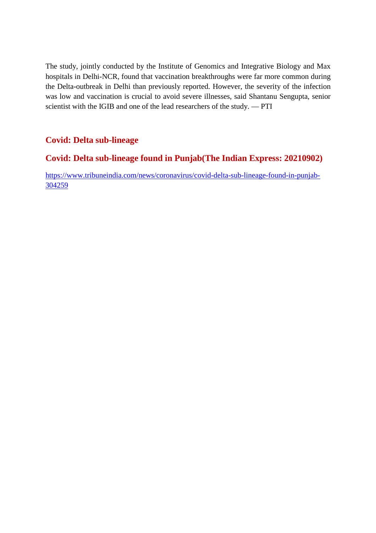The study, jointly conducted by the Institute of Genomics and Integrative Biology and Max hospitals in Delhi-NCR, found that vaccination breakthroughs were far more common during the Delta-outbreak in Delhi than previously reported. However, the severity of the infection was low and vaccination is crucial to avoid severe illnesses, said Shantanu Sengupta, senior scientist with the IGIB and one of the lead researchers of the study. — PTI

# **Covid: Delta sub-lineage**

# **Covid: Delta sub-lineage found in Punjab(The Indian Express: 20210902)**

https://www.tribuneindia.com/news/coronavirus/covid-delta-sub-lineage-found-in-punjab-304259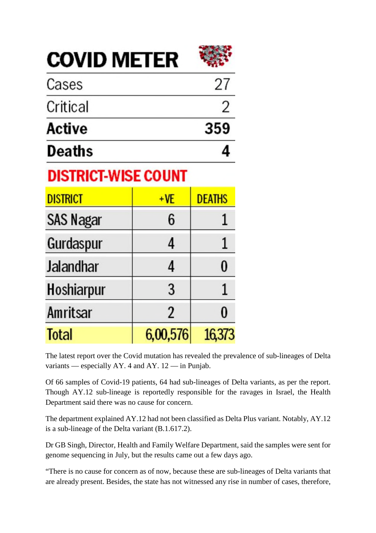**COVID METER** 



| <b>Deaths</b> |     |
|---------------|-----|
| Active        | 359 |
| Critical      |     |
| Cases         | 27  |

# **DISTRICT-WISE COUNT**

| <b>DISTRICT</b>  | $+VE$          | <b>DEATHS</b> |
|------------------|----------------|---------------|
| <b>SAS Nagar</b> | 6              |               |
| Gurdaspur        | 4              |               |
| <b>Jalandhar</b> | 4              | 0             |
| Hoshiarpur       | 3              |               |
| Amritsar         | $\overline{2}$ | 0             |
| <b>Total</b>     | 6,00,576       | 16,373        |

The latest report over the Covid mutation has revealed the prevalence of sub-lineages of Delta variants — especially AY. 4 and AY. 12 — in Punjab.

Of 66 samples of Covid-19 patients, 64 had sub-lineages of Delta variants, as per the report. Though AY.12 sub-lineage is reportedly responsible for the ravages in Israel, the Health Department said there was no cause for concern.

The department explained AY.12 had not been classified as Delta Plus variant. Notably, AY.12 is a sub-lineage of the Delta variant (B.1.617.2).

Dr GB Singh, Director, Health and Family Welfare Department, said the samples were sent for genome sequencing in July, but the results came out a few days ago.

"There is no cause for concern as of now, because these are sub-lineages of Delta variants that are already present. Besides, the state has not witnessed any rise in number of cases, therefore,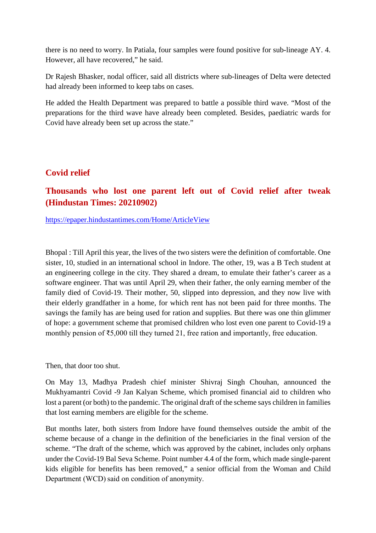there is no need to worry. In Patiala, four samples were found positive for sub-lineage AY. 4. However, all have recovered," he said.

Dr Rajesh Bhasker, nodal officer, said all districts where sub-lineages of Delta were detected had already been informed to keep tabs on cases.

He added the Health Department was prepared to battle a possible third wave. "Most of the preparations for the third wave have already been completed. Besides, paediatric wards for Covid have already been set up across the state."

# **Covid relief**

# **Thousands who lost one parent left out of Covid relief after tweak (Hindustan Times: 20210902)**

https://epaper.hindustantimes.com/Home/ArticleView

Bhopal : Till April this year, the lives of the two sisters were the definition of comfortable. One sister, 10, studied in an international school in Indore. The other, 19, was a B Tech student at an engineering college in the city. They shared a dream, to emulate their father's career as a software engineer. That was until April 29, when their father, the only earning member of the family died of Covid-19. Their mother, 50, slipped into depression, and they now live with their elderly grandfather in a home, for which rent has not been paid for three months. The savings the family has are being used for ration and supplies. But there was one thin glimmer of hope: a government scheme that promised children who lost even one parent to Covid-19 a monthly pension of ₹5,000 till they turned 21, free ration and importantly, free education.

Then, that door too shut.

On May 13, Madhya Pradesh chief minister Shivraj Singh Chouhan, announced the Mukhyamantri Covid -9 Jan Kalyan Scheme, which promised financial aid to children who lost a parent (or both) to the pandemic. The original draft of the scheme says children in families that lost earning members are eligible for the scheme.

But months later, both sisters from Indore have found themselves outside the ambit of the scheme because of a change in the definition of the beneficiaries in the final version of the scheme. "The draft of the scheme, which was approved by the cabinet, includes only orphans under the Covid-19 Bal Seva Scheme. Point number 4.4 of the form, which made single-parent kids eligible for benefits has been removed," a senior official from the Woman and Child Department (WCD) said on condition of anonymity.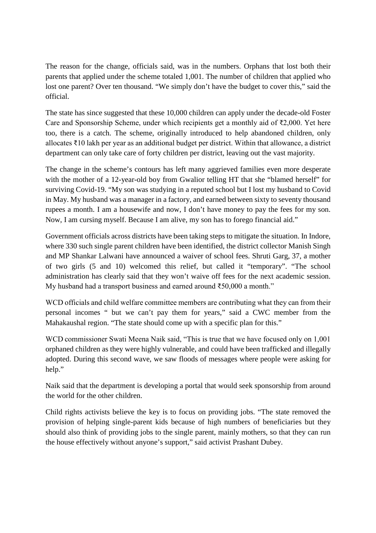The reason for the change, officials said, was in the numbers. Orphans that lost both their parents that applied under the scheme totaled 1,001. The number of children that applied who lost one parent? Over ten thousand. "We simply don't have the budget to cover this," said the official.

The state has since suggested that these 10,000 children can apply under the decade-old Foster Care and Sponsorship Scheme, under which recipients get a monthly aid of ₹2,000. Yet here too, there is a catch. The scheme, originally introduced to help abandoned children, only allocates ₹10 lakh per year as an additional budget per district. Within that allowance, a district department can only take care of forty children per district, leaving out the vast majority.

The change in the scheme's contours has left many aggrieved families even more desperate with the mother of a 12-year-old boy from Gwalior telling HT that she "blamed herself" for surviving Covid-19. "My son was studying in a reputed school but I lost my husband to Covid in May. My husband was a manager in a factory, and earned between sixty to seventy thousand rupees a month. I am a housewife and now, I don't have money to pay the fees for my son. Now, I am cursing myself. Because I am alive, my son has to forego financial aid."

Government officials across districts have been taking steps to mitigate the situation. In Indore, where 330 such single parent children have been identified, the district collector Manish Singh and MP Shankar Lalwani have announced a waiver of school fees. Shruti Garg, 37, a mother of two girls (5 and 10) welcomed this relief, but called it "temporary". "The school administration has clearly said that they won't waive off fees for the next academic session. My husband had a transport business and earned around ₹50,000 a month."

WCD officials and child welfare committee members are contributing what they can from their personal incomes " but we can't pay them for years," said a CWC member from the Mahakaushal region. "The state should come up with a specific plan for this."

WCD commissioner Swati Meena Naik said, "This is true that we have focused only on 1,001 orphaned children as they were highly vulnerable, and could have been trafficked and illegally adopted. During this second wave, we saw floods of messages where people were asking for help."

Naik said that the department is developing a portal that would seek sponsorship from around the world for the other children.

Child rights activists believe the key is to focus on providing jobs. "The state removed the provision of helping single-parent kids because of high numbers of beneficiaries but they should also think of providing jobs to the single parent, mainly mothers, so that they can run the house effectively without anyone's support," said activist Prashant Dubey.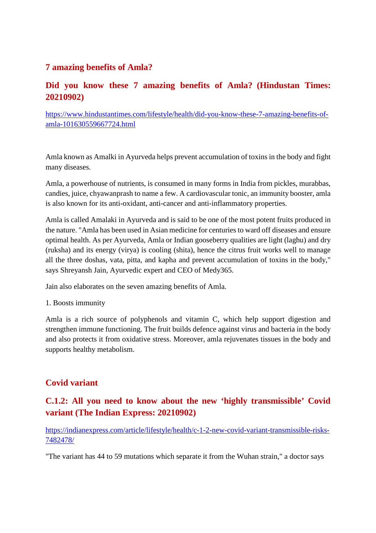# **7 amazing benefits of Amla?**

# **Did you know these 7 amazing benefits of Amla? (Hindustan Times: 20210902)**

https://www.hindustantimes.com/lifestyle/health/did-you-know-these-7-amazing-benefits-ofamla-101630559667724.html

Amla known as Amalki in Ayurveda helps prevent accumulation of toxins in the body and fight many diseases.

Amla, a powerhouse of nutrients, is consumed in many forms in India from pickles, murabbas, candies, juice, chyawanprash to name a few. A cardiovascular tonic, an immunity booster, amla is also known for its anti-oxidant, anti-cancer and anti-inflammatory properties.

Amla is called Amalaki in Ayurveda and is said to be one of the most potent fruits produced in the nature. "Amla has been used in Asian medicine for centuries to ward off diseases and ensure optimal health. As per Ayurveda, Amla or Indian gooseberry qualities are light (laghu) and dry (ruksha) and its energy (virya) is cooling (shita), hence the citrus fruit works well to manage all the three doshas, vata, pitta, and kapha and prevent accumulation of toxins in the body," says Shreyansh Jain, Ayurvedic expert and CEO of Medy365.

Jain also elaborates on the seven amazing benefits of Amla.

1. Boosts immunity

Amla is a rich source of polyphenols and vitamin C, which help support digestion and strengthen immune functioning. The fruit builds defence against virus and bacteria in the body and also protects it from oxidative stress. Moreover, amla rejuvenates tissues in the body and supports healthy metabolism.

# **Covid variant**

# **C.1.2: All you need to know about the new 'highly transmissible' Covid variant (The Indian Express: 20210902)**

https://indianexpress.com/article/lifestyle/health/c-1-2-new-covid-variant-transmissible-risks-7482478/

"The variant has 44 to 59 mutations which separate it from the Wuhan strain," a doctor says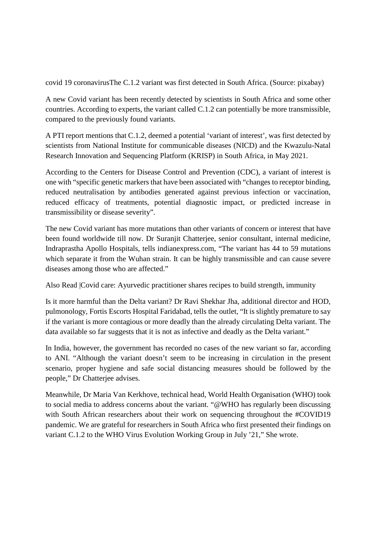covid 19 coronavirusThe C.1.2 variant was first detected in South Africa. (Source: pixabay)

A new Covid variant has been recently detected by scientists in South Africa and some other countries. According to experts, the variant called C.1.2 can potentially be more transmissible, compared to the previously found variants.

A PTI report mentions that C.1.2, deemed a potential 'variant of interest', was first detected by scientists from National Institute for communicable diseases (NICD) and the Kwazulu-Natal Research Innovation and Sequencing Platform (KRISP) in South Africa, in May 2021.

According to the Centers for Disease Control and Prevention (CDC), a variant of interest is one with "specific genetic markers that have been associated with "changes to receptor binding, reduced neutralisation by antibodies generated against previous infection or vaccination, reduced efficacy of treatments, potential diagnostic impact, or predicted increase in transmissibility or disease severity".

The new Covid variant has more mutations than other variants of concern or interest that have been found worldwide till now. Dr Suranjit Chatterjee, senior consultant, internal medicine, Indraprastha Apollo Hospitals, tells indianexpress.com, "The variant has 44 to 59 mutations which separate it from the Wuhan strain. It can be highly transmissible and can cause severe diseases among those who are affected."

Also Read |Covid care: Ayurvedic practitioner shares recipes to build strength, immunity

Is it more harmful than the Delta variant? Dr Ravi Shekhar Jha, additional director and HOD, pulmonology, Fortis Escorts Hospital Faridabad, tells the outlet, "It is slightly premature to say if the variant is more contagious or more deadly than the already circulating Delta variant. The data available so far suggests that it is not as infective and deadly as the Delta variant."

In India, however, the government has recorded no cases of the new variant so far, according to ANI. "Although the variant doesn't seem to be increasing in circulation in the present scenario, proper hygiene and safe social distancing measures should be followed by the people," Dr Chatterjee advises.

Meanwhile, Dr Maria Van Kerkhove, technical head, World Health Organisation (WHO) took to social media to address concerns about the variant. "@WHO has regularly been discussing with South African researchers about their work on sequencing throughout the #COVID19 pandemic. We are grateful for researchers in South Africa who first presented their findings on variant C.1.2 to the WHO Virus Evolution Working Group in July '21," She wrote.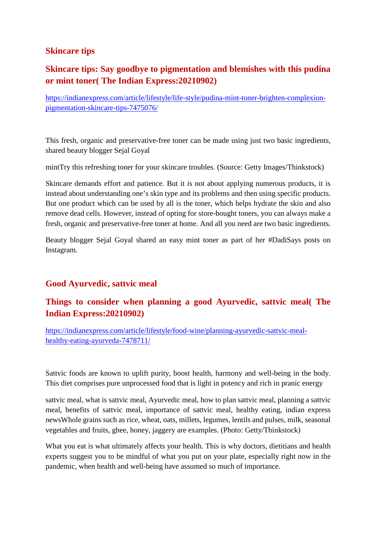# **Skincare tips**

# **Skincare tips: Say goodbye to pigmentation and blemishes with this pudina or mint toner( The Indian Express:20210902)**

https://indianexpress.com/article/lifestyle/life-style/pudina-mint-toner-brighten-complexionpigmentation-skincare-tips-7475076/

This fresh, organic and preservative-free toner can be made using just two basic ingredients, shared beauty blogger Sejal Goyal

mintTry this refreshing toner for your skincare troubles. (Source: Getty Images/Thinkstock)

Skincare demands effort and patience. But it is not about applying numerous products, it is instead about understanding one's skin type and its problems and then using specific products. But one product which can be used by all is the toner, which helps hydrate the skin and also remove dead cells. However, instead of opting for store-bought toners, you can always make a fresh, organic and preservative-free toner at home. And all you need are two basic ingredients.

Beauty blogger Sejal Goyal shared an easy mint toner as part of her #DadiSays posts on Instagram.

# **Good Ayurvedic, sattvic meal**

# **Things to consider when planning a good Ayurvedic, sattvic meal( The Indian Express:20210902)**

https://indianexpress.com/article/lifestyle/food-wine/planning-ayurvedic-sattvic-mealhealthy-eating-ayurveda-7478711/

Sattvic foods are known to uplift purity, boost health, harmony and well-being in the body. This diet comprises pure unprocessed food that is light in potency and rich in pranic energy

sattvic meal, what is sattvic meal, Ayurvedic meal, how to plan sattvic meal, planning a sattvic meal, benefits of sattvic meal, importance of sattvic meal, healthy eating, indian express newsWhole grains such as rice, wheat, oats, millets, legumes, lentils and pulses, milk, seasonal vegetables and fruits, ghee, honey, jaggery are examples. (Photo: Getty/Thinkstock)

What you eat is what ultimately affects your health. This is why doctors, dietitians and health experts suggest you to be mindful of what you put on your plate, especially right now in the pandemic, when health and well-being have assumed so much of importance.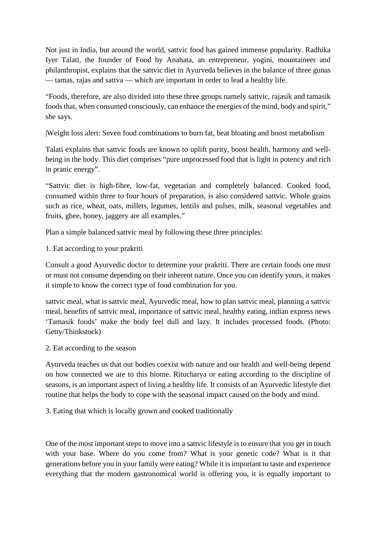Not just in India, but around the world, sattvic food has gained immense popularity. Radhika Iyer Talati, the founder of Food by Anahata, an entrepreneur, yogini, mountaineer and philanthropist, explains that the sattvic diet in Ayurveda believes in the balance of three gunas — tamas, rajas and sattva — which are important in order to lead a healthy life.

"Foods, therefore, are also divided into these three groups namely sattvic, rajasik and tamasik foods that, when consumed consciously, can enhance the energies of the mind, body and spirit," she says.

|Weight loss alert: Seven food combinations to burn fat, beat bloating and boost metabolism

Talati explains that sattvic foods are known to uplift purity, boost health, harmony and wellbeing in the body. This diet comprises "pure unprocessed food that is light in potency and rich in pranic energy".

"Sattvic diet is high-fibre, low-fat, vegetarian and completely balanced. Cooked food, consumed within three to four hours of preparation, is also considered sattvic. Whole grains such as rice, wheat, oats, millets, legumes, lentils and pulses, milk, seasonal vegetables and fruits, ghee, honey, jaggery are all examples."

Plan a simple balanced sattvic meal by following these three principles:

1. Eat according to your prakriti

Consult a good Ayurvedic doctor to determine your prakriti. There are certain foods one must or must not consume depending on their inherent nature. Once you can identify yours, it makes it simple to know the correct type of food combination for you.

sattvic meal, what is sattvic meal, Ayurvedic meal, how to plan sattvic meal, planning a sattvic meal, benefits of sattvic meal, importance of sattvic meal, healthy eating, indian express news 'Tamasik foods' make the body feel dull and lazy. It includes processed foods. (Photo: Getty/Thinkstock)

2. Eat according to the season

Ayurveda teaches us that our bodies coexist with nature and our health and well-being depend on how connected we are to this biome. Ritucharya or eating according to the discipline of seasons, is an important aspect of living a healthy life. It consists of an Ayurvedic lifestyle diet routine that helps the body to cope with the seasonal impact caused on the body and mind.

3. Eating that which is locally grown and cooked traditionally

One of the most important steps to move into a sattvic lifestyle is to ensure that you get in touch with your base. Where do you come from? What is your genetic code? What is it that generations before you in your family were eating? While it is important to taste and experience everything that the modern gastronomical world is offering you, it is equally important to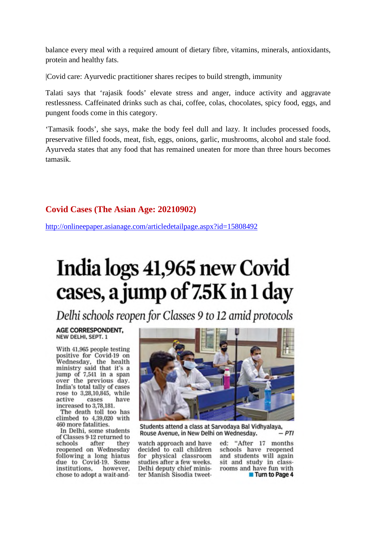balance every meal with a required amount of dietary fibre, vitamins, minerals, antioxidants, protein and healthy fats.

|Covid care: Ayurvedic practitioner shares recipes to build strength, immunity

Talati says that 'rajasik foods' elevate stress and anger, induce activity and aggravate restlessness. Caffeinated drinks such as chai, coffee, colas, chocolates, spicy food, eggs, and pungent foods come in this category.

'Tamasik foods', she says, make the body feel dull and lazy. It includes processed foods, preservative filled foods, meat, fish, eggs, onions, garlic, mushrooms, alcohol and stale food. Ayurveda states that any food that has remained uneaten for more than three hours becomes tamasik.

## **Covid Cases (The Asian Age: 20210902)**

http://onlineepaper.asianage.com/articledetailpage.aspx?id=15808492

# India logs 41,965 new Covid cases, a jump of 7.5K in 1 day

Delhi schools reopen for Classes 9 to 12 amid protocols

#### AGE CORRESPONDENT. NEW DELHI, SEPT. 1

With 41,965 people testing positive for Covid-19 on<br>Wednesday, the health ministry said that it's a jump of 7,541 in a span over the previous day. India's total tally of cases rose to 3,28,10,845, while active cases have increased to 3,78,181.

The death toll too has climbed to 4,39,020 with 460 more fatalities.

In Delhi, some students of Classes 9-12 returned to schools after they reopened on Wednesday following a long hiatus due to Covid-19. Some institutions. however. chose to adopt a wait-and-



Students attend a class at Sarvodaya Bal Vidhyalaya, - PTI Rouse Avenue, in New Delhi on Wednesday.

watch approach and have decided to call children for physical classroom studies after a few weeks. Delhi deputy chief minister Manish Sisodia tweeted: "After 17 months schools have reopened and students will again sit and study in classrooms and have fun with **Turn to Page 4**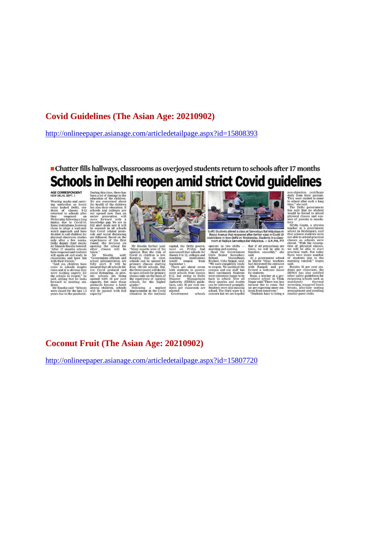## **Covid Guidelines (The Asian Age: 20210902)**

http://onlineepaper.asianage.com/articledetailpage.aspx?id=15808393

• Chatter fills hallways, classrooms as overjoyed students return to schools after 17 months Schools in Delhi reopen amid strict Covid guidelines

#### AGE CORRESPONDENT<br>NEW DELHI, SEPT. 1

Wearing masks and carry-<br>Wearing unbrellas as heavy<br>rains lashed Delhi, stu-<br>dents of classes 9-12<br>returned to schools after<br>they reopened on dentis of cases s<sup>12</sup>2<br>returned to schools after<br>returned to schools after<br>returned to schools after<br>returned to schools after<br>histists due to Covid-13<br>bindusts due to Covid-13<br>chools after a dentity and the decided to cal

During this time, there has<br>been a lot of damage to the education of the children.<br>We are concerned about the children. We are concerned about that a<br>bod of the children behavior by the shock of the children in the proper

ave reopenent ansudents used.<br>
The galaxies and the same of the same of the painter and the same of the school administration are schools and the<br>
in the perimary chools despite ensured that all schools fol-<br>
The perimary to open school<br>classes only c<br>the experience<br>schools for<br>grades." schools for the nigher<br>grades,"<br>Following a marked<br>improvement in the Covid



capital, the Delhi government on Friday had<br>amounced that schools for<br>classes 9 to 12, colleges and<br>coaching institutions<br>coaching institutions<br>would reopen from September 1.

coaching institutions<br>would reopen from Speedward and There are about seven labels that<br>ment schools from classes<br>ment schools from classes<br>9-12, but owing to Delhi<br>Disaster Management<br>Anathority (DDMA) guide<br>Disaster Clas e of opening<br>the higher national ulowed.<br>Government schools



(Left) Students attend a class at Sarvodaya Bal Vidyalaya in<br>Rouse Avenue that reopened after further ease in Covid-19<br>restrictions in New Delhi on Wednesday, Students in a class-<br>room at Rajkiya Sarvodaya Bal Vidyalaya. -

room at Mayaya Sarvoqaya<br>Sarvoqaya Sarvoqaya Temeriniya and evening and even for Sarvoqaya<br>Senior Comparent Sarvoqaya<br>Senior Comparation Sarvoqaya<br>Sarvoqaya Sarvoqaya<br>Temeriniya Sarvoqaya<br>Sarvoqaya Sarvoqaya<br>Sarvoqaya Sarv been vaccinated. Students<br>were extremely happy to be<br>back in school. Now all<br>their queries and doubts<br>can be addressed promptly.<br>Students were also missing<br>school. The third wave is a<br>concern but we are hopeful

of rotation and the relations are taken, we will be able to function smoothly," she said.<br>At a government school in Mayur Vhan teachers in Mayur Vhan teachers in Mayur Vihar, teachers<br>had decorated the entrance<br>with Rangoli and per-<br>formed a welcome dance<br>for students.

for students.<br>
Rupa, a teacher at a gov-<br>
Rupa, a teacher at a gov-<br>
ernment school in Tilak<br>
Nagar said, "There was less<br>
we are expecting more students<br>
from tomorrow."<br>
Students have to believe. Students have to bring a

non-oppertune certure<br>are displayed to come to school after such a long to school after such a<br>long time," she said.<br>The Delhi government<br>time," she said that no student<br>would be forced to attend<br>physical classes and con-

at of parents is lory.<br>Mridu Gupta,

Mridu Gupta, a physics<br>toacher at a government<br>school in Brahmpuri, said<br>that science students were<br>not able to attend practical<br>classes as schools were<br>classes as schools were closed. "With the resumption of physical classes<br>we will be able to stan<br>practical work. But toda<br>there were lesser numbe le to start<br>But today<br>er number nts due<br>rainfall,"

.<br>sides 50 per cent students per classro<br>DDMA has also<br>other safety guide<br>reopening school: reopening mandatory thermal<br>screening, staggered lunch<br>breaks, alternate seating<br>arrangement and avoiding<br>routine guest visits.

# **Coconut Fruit (The Asian Age: 20210902)**

http://onlineepaper.asianage.com/articledetailpage.aspx?id=15807720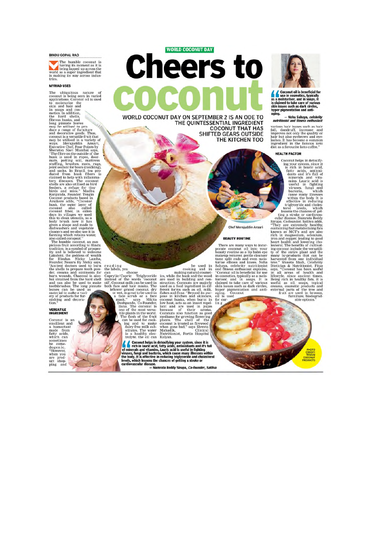#### **BINDU GOPAL RAO**

The humble coconut is<br>having its moment as it is<br>being lapped up across the<br>as a super ingredient that<br>this making its way across industries

#### **MYRIAD USES**

The ubiquitous nature of conouti is being seen in varied applications. Coconut oil is used to moisturise the and cost in so<br>applications. Coconut oil is used to splications. Coconut oil is used is<br>skin and hair and cost a

## **VERSATILE**<br>INGREDIENT

Coconut is an<br>emollient and<br>a humectant<br>made from<br>made, which can<br>sometimes<br>be comedogenic.<br>"However, when you are product<br>uct shop-<br>ping and

**WORLD COCONUT DAY** Cheers to

WORLD COCONUT DAY ON SEPTEMBER 2 IS AN ODE TO THE OUINTESSENTIAL INGREDIENT **COCONUT THAT HAS SHIFTED GEARS OUTSIDE** THE KITCHEN TOO

rea d'inguiseant de la partie de la partie de la partie de la partie d'aprilier de la partie d'aprilier d'apri<br>Caprytic/Caprice Triglyceride di control de la partie de la partie de la partie de le le le le le le le le le l

The control helps in detaxifying your system, since it is<br>
a Coconul helps in detaxifying your system, since it is<br>
in the in lauric acid, fatty acids, antioxidants and it's full<br>
of minerals and vitamins. Lauric acid is u



Coconut oil is beneficial for<br>live in cosmettics, typically<br>as a moisturiser, and in soaps. It<br>is claimed to take care of various<br>skin issues such as dark circles,<br>hyper pigmentation and anti-<br>aging. aging.

iging.<br>Neha Sahaya, *celebrity —*<br>n*utritionist and fitness enthusiast* 

various hair issues such as hair fall, dandruff, increase and improves not only the quality or lashes. It has become a common speaking ingredient in the framous keto distance a speaking distance distance distance  $\mu$ 

#### **HEALTH FACTOR**

**HEALTH FACTOR**<br>
Coconut helps in detoxity-<br>
ing your system, since it<br>
is rich in laure acid,<br>
inty such saids, antioxi-<br>
is rich in laure acid, and is tulinous factor in the state in the state in the body. It is viruses,

**BEAUTY ROUTINE**<br>There are many ways to incor-<br>porate coconut oil into your beauty routine as a lip ball neget<br>makeup remover, gentle eleanser<br>tame split ends and even mois-<br>Sahaya, celebrity nutritionist<br>and fitness enthu

Chef Merajuddin Ansari

**BEAUTY ROUTINE** 

reading<br>the labels, you

# be used in<br>making natural conding and in<br>its, while the busk and the wood<br>are used in building and con-<br>struction. Coconus are majorly<br>there is a flow that the first fact as a flow that the first fact as a flow that alse i

be used<br>cooking and

 $\frac{\ln}{\ln}$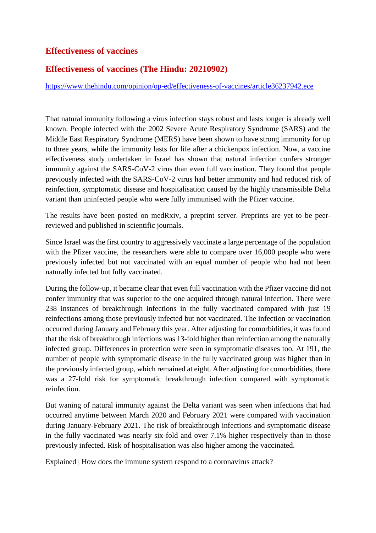# **Effectiveness of vaccines**

# **Effectiveness of vaccines (The Hindu: 20210902)**

https://www.thehindu.com/opinion/op-ed/effectiveness-of-vaccines/article36237942.ece

That natural immunity following a virus infection stays robust and lasts longer is already well known. People infected with the 2002 Severe Acute Respiratory Syndrome (SARS) and the Middle East Respiratory Syndrome (MERS) have been shown to have strong immunity for up to three years, while the immunity lasts for life after a chickenpox infection. Now, a vaccine effectiveness study undertaken in Israel has shown that natural infection confers stronger immunity against the SARS-CoV-2 virus than even full vaccination. They found that people previously infected with the SARS-CoV-2 virus had better immunity and had reduced risk of reinfection, symptomatic disease and hospitalisation caused by the highly transmissible Delta variant than uninfected people who were fully immunised with the Pfizer vaccine.

The results have been posted on medRxiv, a preprint server. Preprints are yet to be peerreviewed and published in scientific journals.

Since Israel was the first country to aggressively vaccinate a large percentage of the population with the Pfizer vaccine, the researchers were able to compare over 16,000 people who were previously infected but not vaccinated with an equal number of people who had not been naturally infected but fully vaccinated.

During the follow-up, it became clear that even full vaccination with the Pfizer vaccine did not confer immunity that was superior to the one acquired through natural infection. There were 238 instances of breakthrough infections in the fully vaccinated compared with just 19 reinfections among those previously infected but not vaccinated. The infection or vaccination occurred during January and February this year. After adjusting for comorbidities, it was found that the risk of breakthrough infections was 13-fold higher than reinfection among the naturally infected group. Differences in protection were seen in symptomatic diseases too. At 191, the number of people with symptomatic disease in the fully vaccinated group was higher than in the previously infected group, which remained at eight. After adjusting for comorbidities, there was a 27-fold risk for symptomatic breakthrough infection compared with symptomatic reinfection.

But waning of natural immunity against the Delta variant was seen when infections that had occurred anytime between March 2020 and February 2021 were compared with vaccination during January-February 2021. The risk of breakthrough infections and symptomatic disease in the fully vaccinated was nearly six-fold and over 7.1% higher respectively than in those previously infected. Risk of hospitalisation was also higher among the vaccinated.

Explained | How does the immune system respond to a coronavirus attack?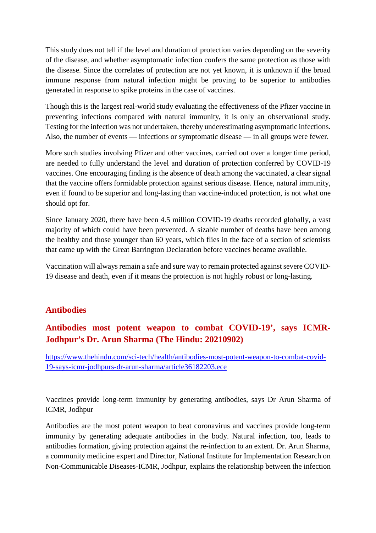This study does not tell if the level and duration of protection varies depending on the severity of the disease, and whether asymptomatic infection confers the same protection as those with the disease. Since the correlates of protection are not yet known, it is unknown if the broad immune response from natural infection might be proving to be superior to antibodies generated in response to spike proteins in the case of vaccines.

Though this is the largest real-world study evaluating the effectiveness of the Pfizer vaccine in preventing infections compared with natural immunity, it is only an observational study. Testing for the infection was not undertaken, thereby underestimating asymptomatic infections. Also, the number of events — infections or symptomatic disease — in all groups were fewer.

More such studies involving Pfizer and other vaccines, carried out over a longer time period, are needed to fully understand the level and duration of protection conferred by COVID-19 vaccines. One encouraging finding is the absence of death among the vaccinated, a clear signal that the vaccine offers formidable protection against serious disease. Hence, natural immunity, even if found to be superior and long-lasting than vaccine-induced protection, is not what one should opt for.

Since January 2020, there have been 4.5 million COVID-19 deaths recorded globally, a vast majority of which could have been prevented. A sizable number of deaths have been among the healthy and those younger than 60 years, which flies in the face of a section of scientists that came up with the Great Barrington Declaration before vaccines became available.

Vaccination will always remain a safe and sure way to remain protected against severe COVID-19 disease and death, even if it means the protection is not highly robust or long-lasting.

# **Antibodies**

# **Antibodies most potent weapon to combat COVID-19', says ICMR-Jodhpur's Dr. Arun Sharma (The Hindu: 20210902)**

https://www.thehindu.com/sci-tech/health/antibodies-most-potent-weapon-to-combat-covid-19-says-icmr-jodhpurs-dr-arun-sharma/article36182203.ece

Vaccines provide long-term immunity by generating antibodies, says Dr Arun Sharma of ICMR, Jodhpur

Antibodies are the most potent weapon to beat coronavirus and vaccines provide long-term immunity by generating adequate antibodies in the body. Natural infection, too, leads to antibodies formation, giving protection against the re-infection to an extent. Dr. Arun Sharma, a community medicine expert and Director, National Institute for Implementation Research on Non-Communicable Diseases-ICMR, Jodhpur, explains the relationship between the infection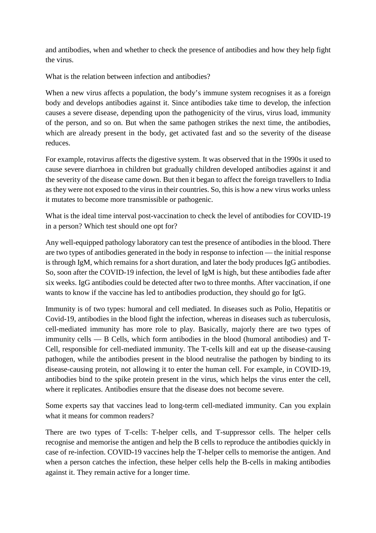and antibodies, when and whether to check the presence of antibodies and how they help fight the virus.

What is the relation between infection and antibodies?

When a new virus affects a population, the body's immune system recognises it as a foreign body and develops antibodies against it. Since antibodies take time to develop, the infection causes a severe disease, depending upon the pathogenicity of the virus, virus load, immunity of the person, and so on. But when the same pathogen strikes the next time, the antibodies, which are already present in the body, get activated fast and so the severity of the disease reduces.

For example, rotavirus affects the digestive system. It was observed that in the 1990s it used to cause severe diarrhoea in children but gradually children developed antibodies against it and the severity of the disease came down. But then it began to affect the foreign travellers to India as they were not exposed to the virus in their countries. So, this is how a new virus works unless it mutates to become more transmissible or pathogenic.

What is the ideal time interval post-vaccination to check the level of antibodies for COVID-19 in a person? Which test should one opt for?

Any well-equipped pathology laboratory can test the presence of antibodies in the blood. There are two types of antibodies generated in the body in response to infection — the initial response is through IgM, which remains for a short duration, and later the body produces IgG antibodies. So, soon after the COVID-19 infection, the level of IgM is high, but these antibodies fade after six weeks. IgG antibodies could be detected after two to three months. After vaccination, if one wants to know if the vaccine has led to antibodies production, they should go for IgG.

Immunity is of two types: humoral and cell mediated. In diseases such as Polio, Hepatitis or Covid-19, antibodies in the blood fight the infection, whereas in diseases such as tuberculosis, cell-mediated immunity has more role to play. Basically, majorly there are two types of immunity cells — B Cells, which form antibodies in the blood (humoral antibodies) and T-Cell, responsible for cell-mediated immunity. The T-cells kill and eat up the disease-causing pathogen, while the antibodies present in the blood neutralise the pathogen by binding to its disease-causing protein, not allowing it to enter the human cell. For example, in COVID-19, antibodies bind to the spike protein present in the virus, which helps the virus enter the cell, where it replicates. Antibodies ensure that the disease does not become severe.

Some experts say that vaccines lead to long-term cell-mediated immunity. Can you explain what it means for common readers?

There are two types of T-cells: T-helper cells, and T-suppressor cells. The helper cells recognise and memorise the antigen and help the B cells to reproduce the antibodies quickly in case of re-infection. COVID-19 vaccines help the T-helper cells to memorise the antigen. And when a person catches the infection, these helper cells help the B-cells in making antibodies against it. They remain active for a longer time.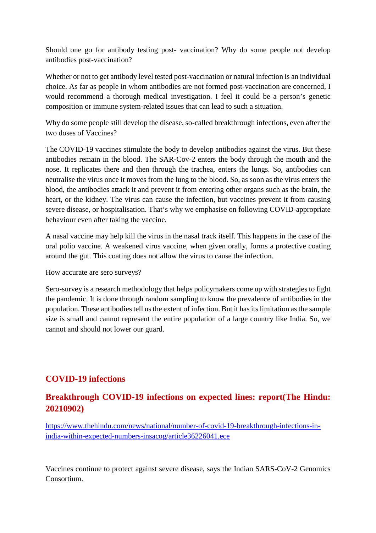Should one go for antibody testing post- vaccination? Why do some people not develop antibodies post-vaccination?

Whether or not to get antibody level tested post-vaccination or natural infection is an individual choice. As far as people in whom antibodies are not formed post-vaccination are concerned, I would recommend a thorough medical investigation. I feel it could be a person's genetic composition or immune system-related issues that can lead to such a situation.

Why do some people still develop the disease, so-called breakthrough infections, even after the two doses of Vaccines?

The COVID-19 vaccines stimulate the body to develop antibodies against the virus. But these antibodies remain in the blood. The SAR-Cov-2 enters the body through the mouth and the nose. It replicates there and then through the trachea, enters the lungs. So, antibodies can neutralise the virus once it moves from the lung to the blood. So, as soon as the virus enters the blood, the antibodies attack it and prevent it from entering other organs such as the brain, the heart, or the kidney. The virus can cause the infection, but vaccines prevent it from causing severe disease, or hospitalisation. That's why we emphasise on following COVID-appropriate behaviour even after taking the vaccine.

A nasal vaccine may help kill the virus in the nasal track itself. This happens in the case of the oral polio vaccine. A weakened virus vaccine, when given orally, forms a protective coating around the gut. This coating does not allow the virus to cause the infection.

How accurate are sero surveys?

Sero-survey is a research methodology that helps policymakers come up with strategies to fight the pandemic. It is done through random sampling to know the prevalence of antibodies in the population. These antibodies tell us the extent of infection. But it has its limitation as the sample size is small and cannot represent the entire population of a large country like India. So, we cannot and should not lower our guard.

# **COVID-19 infections**

# **Breakthrough COVID-19 infections on expected lines: report(The Hindu: 20210902)**

https://www.thehindu.com/news/national/number-of-covid-19-breakthrough-infections-inindia-within-expected-numbers-insacog/article36226041.ece

Vaccines continue to protect against severe disease, says the Indian SARS-CoV-2 Genomics Consortium.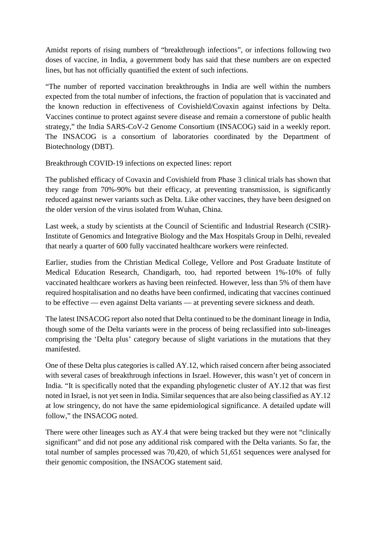Amidst reports of rising numbers of "breakthrough infections", or infections following two doses of vaccine, in India, a government body has said that these numbers are on expected lines, but has not officially quantified the extent of such infections.

"The number of reported vaccination breakthroughs in India are well within the numbers expected from the total number of infections, the fraction of population that is vaccinated and the known reduction in effectiveness of Covishield/Covaxin against infections by Delta. Vaccines continue to protect against severe disease and remain a cornerstone of public health strategy," the India SARS-CoV-2 Genome Consortium (INSACOG) said in a weekly report. The INSACOG is a consortium of laboratories coordinated by the Department of Biotechnology (DBT).

Breakthrough COVID-19 infections on expected lines: report

The published efficacy of Covaxin and Covishield from Phase 3 clinical trials has shown that they range from 70%-90% but their efficacy, at preventing transmission, is significantly reduced against newer variants such as Delta. Like other vaccines, they have been designed on the older version of the virus isolated from Wuhan, China.

Last week, a study by scientists at the Council of Scientific and Industrial Research (CSIR)- Institute of Genomics and Integrative Biology and the Max Hospitals Group in Delhi, revealed that nearly a quarter of 600 fully vaccinated healthcare workers were reinfected.

Earlier, studies from the Christian Medical College, Vellore and Post Graduate Institute of Medical Education Research, Chandigarh, too, had reported between 1%-10% of fully vaccinated healthcare workers as having been reinfected. However, less than 5% of them have required hospitalisation and no deaths have been confirmed, indicating that vaccines continued to be effective — even against Delta variants — at preventing severe sickness and death.

The latest INSACOG report also noted that Delta continued to be the dominant lineage in India, though some of the Delta variants were in the process of being reclassified into sub-lineages comprising the 'Delta plus' category because of slight variations in the mutations that they manifested.

One of these Delta plus categories is called AY.12, which raised concern after being associated with several cases of breakthrough infections in Israel. However, this wasn't yet of concern in India. "It is specifically noted that the expanding phylogenetic cluster of AY.12 that was first noted in Israel, is not yet seen in India. Similar sequences that are also being classified as AY.12 at low stringency, do not have the same epidemiological significance. A detailed update will follow," the INSACOG noted.

There were other lineages such as AY.4 that were being tracked but they were not "clinically significant" and did not pose any additional risk compared with the Delta variants. So far, the total number of samples processed was 70,420, of which 51,651 sequences were analysed for their genomic composition, the INSACOG statement said.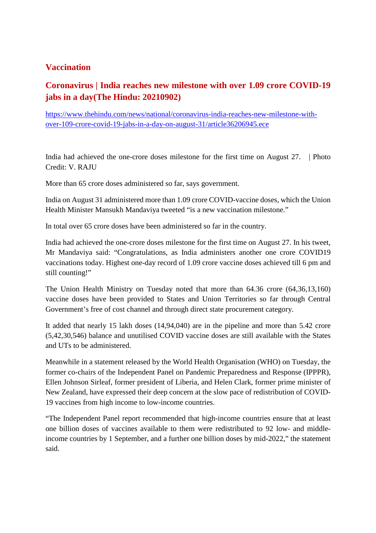# **Vaccination**

# **Coronavirus | India reaches new milestone with over 1.09 crore COVID-19 jabs in a day(The Hindu: 20210902)**

https://www.thehindu.com/news/national/coronavirus-india-reaches-new-milestone-withover-109-crore-covid-19-jabs-in-a-day-on-august-31/article36206945.ece

India had achieved the one-crore doses milestone for the first time on August 27. | Photo Credit: V. RAJU

More than 65 crore doses administered so far, says government.

India on August 31 administered more than 1.09 crore COVID-vaccine doses, which the Union Health Minister Mansukh Mandaviya tweeted "is a new vaccination milestone."

In total over 65 crore doses have been administered so far in the country.

India had achieved the one-crore doses milestone for the first time on August 27. In his tweet, Mr Mandaviya said: "Congratulations, as India administers another one crore COVID19 vaccinations today. Highest one-day record of 1.09 crore vaccine doses achieved till 6 pm and still counting!"

The Union Health Ministry on Tuesday noted that more than 64.36 crore (64,36,13,160) vaccine doses have been provided to States and Union Territories so far through Central Government's free of cost channel and through direct state procurement category.

It added that nearly 15 lakh doses (14,94,040) are in the pipeline and more than 5.42 crore (5,42,30,546) balance and unutilised COVID vaccine doses are still available with the States and UTs to be administered.

Meanwhile in a statement released by the World Health Organisation (WHO) on Tuesday, the former co-chairs of the Independent Panel on Pandemic Preparedness and Response (IPPPR), Ellen Johnson Sirleaf, former president of Liberia, and Helen Clark, former prime minister of New Zealand, have expressed their deep concern at the slow pace of redistribution of COVID-19 vaccines from high income to low-income countries.

"The Independent Panel report recommended that high-income countries ensure that at least one billion doses of vaccines available to them were redistributed to 92 low- and middleincome countries by 1 September, and a further one billion doses by mid-2022," the statement said.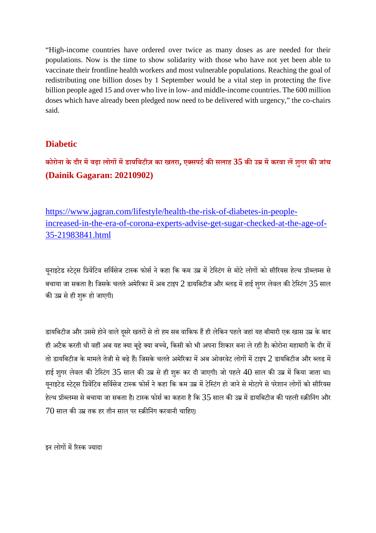"High-income countries have ordered over twice as many doses as are needed for their populations. Now is the time to show solidarity with those who have not yet been able to vaccinate their frontline health workers and most vulnerable populations. Reaching the goal of redistributing one billion doses by 1 September would be a vital step in protecting the five billion people aged 15 and over who live in low- and middle-income countries. The 600 million doses which have already been pledged now need to be delivered with urgency," the co-chairs said.

# **Diabetic**

**कोरोना के दौर मबढ़ा लोगमडायिबटीज़ का खतरा, एसपटकसलाह 35 कउमकरवा लशुगर कजांच (Dainik Gagaran: 20210902)**

https://www.jagran.com/lifestyle/health-the-risk-of-diabetes-in-peopleincreased-in-the-era-of-corona-experts-advise-get-sugar-checked-at-the-age-of-35-21983841.html

यूनाइटेड स्टेट्स प्रिवेंटिव सर्विसेज टास्क फोर्स ने कहा कि कम उम्र में टेस्टिंग से मोटे लोगों को सीरियस हेल्थ प्रॉब्लम्स से बचाया जा सकता है। जिसके चलते अमेरिका में अब टाइप  $2$  डायबिटीज और ब्लड में हाई शुगर लेवल की टेस्टिंग  $35$  साल की उम्र से ही शुरू हो जाएगी।

डायबिटीज और उससे होने वाले दूसरे खतरों से तो हम सब वाकिफ हैं ही लेकिन पहले जहां यह बीमारी एक खास उम्र के बाद ही अटैक करती थी वहीं अब यह क्या बढ़े क्या बच्चे, किसी को भी अपना शिकार बना ले रही है। कोरोना महामारी के दौर में तो डायबिटीज के मामले तेजी से बढ़े हैं। जिसके चलते अमेरिका में अब ओवरवेट लोगों में टाइप  $2$  डायबिटीज और ब्लड में हाई शगर लेवल की टेस्टिंग 35 साल की उम्र से ही शुरू कर दी जाएगी। जो पहले 40 साल की उम्र में किया जाता था। युनाइटेड स्टेट्स प्रिवेंटिव सर्विसेज टास्क फोर्स ने कहा कि कम उम्र में टेस्टिंग हो जाने से मोटापे से परेशान लोगों को सीरियस हेल्थ प्रॉब्लम्स से बचाया जा सकता है। टास्क फोर्स का कहना है कि 35 साल की उम्र में डायबिटीज की पहली स्क्रीनिंग और  $70$  साल की उम्र तक हर तीन साल पर स्क्रीनिंग करवानी चाहिए।

डन लोगों में रिस्क ज्यादा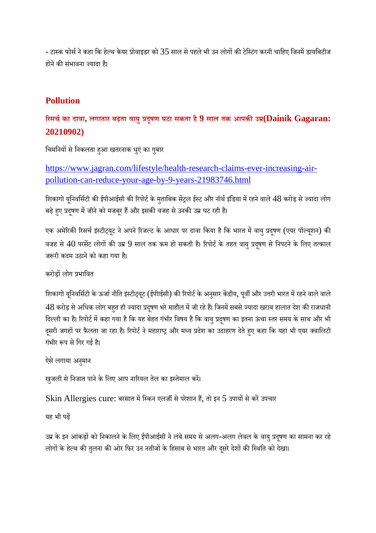- टास्क फोर्स ने कहा कि हेल्थ केयर प्रोवाइडर को  $35$  साल से पहले भी उन लोगों की टेस्टिंग करनी चाहिए जिनमें डायबिटीज होने की संभावना ज्यादा है।

# **Pollution**

# **रसचका दावा, लगातार बढ़ता वायुदूषण घटा सकता है9 साल तक आपकउ(Dainik Gagaran: 20210902)**

चिमनियों से निकलता हुआ खतरनाक धुएं का गुबार

https://www.jagran.com/lifestyle/health-research-claims-ever-increasing-airpollution-can-reduce-your-age-by-9-years-21983746.html

शिकागो यूनिवर्सिटी की ईपीआईसी की रिपोर्ट के मुताबिक सेंट्रल ईस्ट और नॉर्थ इंडिया में रहने वाले 48 करोड़ से ज्यादा लोग बढ़े हए प्रदषण में जीने को मजबूर हैं और इसकी वजह से उनकी उम्र घट रही है।

एक अमेरिकी रिसर्च इंस्टीट्यूट ने अपने रिजल्ट के आधार पर दावा किया है कि भारत में वायु प्रदूषण (एयर पॉल्यूशन) की वजह से 40 परसेंट लोगों की उम्र 9 साल तक कम हो सकती है। रिपोर्ट के तहत वायु प्रदुषण से निपटने के लिए तत्काल जरूरी कदम उठाने को कहा गया है।

करोडों लोग प्रभावित

शिकागो यूनिवर्सिटी के ऊर्जा नीति इंस्टीट्यूट (ईपीाईसी) की रिपोर्ट के अनुसार केंद्रीय, पूर्वी और उत्तरी भारत में रहने वाले वाले 48 करोड़ से अधिक लोग बहुत ही ज्यादा प्रदृषण भरे माहौल में जी रहे हैं। जिनमें सबसे ज्यादा खराब हालात देश की राजधानी दिल्ली का है। रिपोर्ट में कहा गया है कि यह बेहत गंभीर विषय है कि वायु प्रदूषण का इतना ऊंचा स्तर समय के साथ और भी दूसरी जगहों पर फैलता जा रहा है। रिपोर्ट ने महाराष्ट्र और मध्य प्रदेश का उदाहरण देते हुए कहा कि यहां भी एयर क्वालिटी गंभीर रूप से गिर गई है।

ऐसे लगाया अनुमान

खुजली से निजात पाने के लिए आप नारियल तेल का इस्तेमाल करें।

Skin Allergies cure: बरसात में स्किन एलर्जी से परेशान हैं, तो इन 5 उपायों से करें उपचार

यह भी पढ़

उम्र के इन आंकड़ों को निकालने के लिए ईपीआईसी ने लंबे समय से अलग-अलग लेवल के वायु प्रदूषण का सामना कर रहे लोगों के हेल्थ की तुलना की ओर फिर उन नतीजों के हिसाब से भारत और दसरे देशों की स्थिति को देखा।